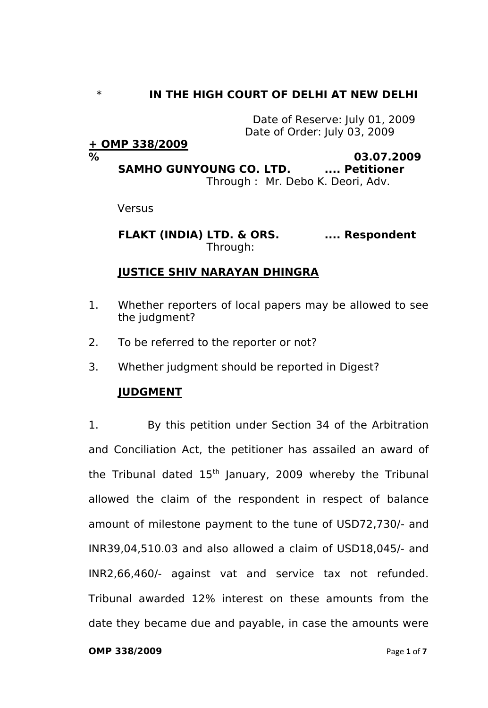# \* **IN THE HIGH COURT OF DELHI AT NEW DELHI**

Date of Reserve: July 01, 2009 Date of Order: July 03, 2009

## **+ OMP 338/2009**

#### **% 03.07.2009 SAMHO GUNYOUNG CO. LTD. .... Petitioner** Through : Mr. Debo K. Deori, Adv.

Versus

**FLAKT (INDIA) LTD. & ORS. .... Respondent** Through:

# **JUSTICE SHIV NARAYAN DHINGRA**

- 1. Whether reporters of local papers may be allowed to see the judgment?
- 2. To be referred to the reporter or not?
- 3. Whether judgment should be reported in Digest?

## **JUDGMENT**

1. By this petition under Section 34 of the Arbitration and Conciliation Act, the petitioner has assailed an award of the Tribunal dated  $15<sup>th</sup>$  January, 2009 whereby the Tribunal allowed the claim of the respondent in respect of balance amount of milestone payment to the tune of USD72,730/- and INR39,04,510.03 and also allowed a claim of USD18,045/- and INR2,66,460/- against vat and service tax not refunded. Tribunal awarded 12% interest on these amounts from the date they became due and payable, in case the amounts were

#### **OMP 338/2009** Page 1 of 7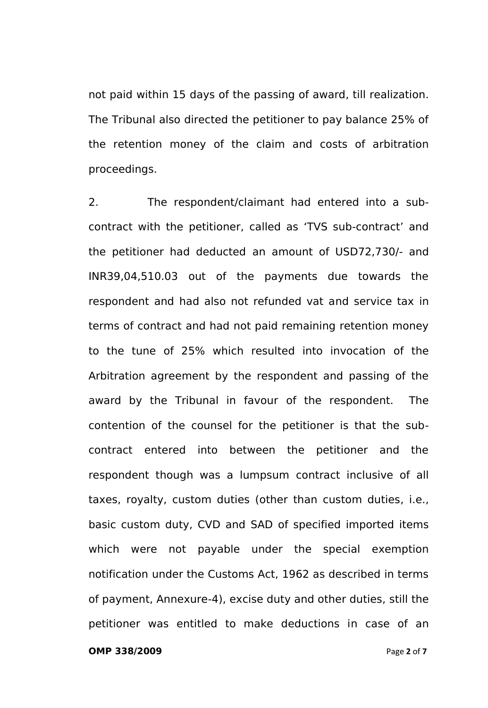not paid within 15 days of the passing of award, till realization. The Tribunal also directed the petitioner to pay balance 25% of the retention money of the claim and costs of arbitration proceedings.

2. The respondent/claimant had entered into a subcontract with the petitioner, called as 'TVS sub-contract' and the petitioner had deducted an amount of USD72,730/- and INR39,04,510.03 out of the payments due towards the respondent and had also not refunded vat and service tax in terms of contract and had not paid remaining retention money to the tune of 25% which resulted into invocation of the Arbitration agreement by the respondent and passing of the award by the Tribunal in favour of the respondent. The contention of the counsel for the petitioner is that the subcontract entered into between the petitioner and the respondent though was a lumpsum contract inclusive of all taxes, royalty, custom duties (other than custom duties, i.e., basic custom duty, CVD and SAD of specified imported items which were not payable under the special exemption notification under the Customs Act, 1962 as described in terms of payment, Annexure-4), excise duty and other duties, still the petitioner was entitled to make deductions in case of an

**OMP 338/2009** Page **2** of **7**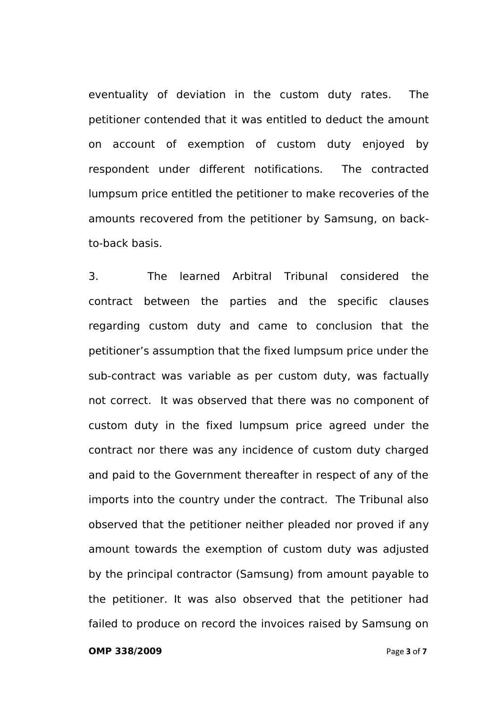eventuality of deviation in the custom duty rates. The petitioner contended that it was entitled to deduct the amount on account of exemption of custom duty enjoyed by respondent under different notifications. The contracted lumpsum price entitled the petitioner to make recoveries of the amounts recovered from the petitioner by Samsung, on backto-back basis.

3. The learned Arbitral Tribunal considered the contract between the parties and the specific clauses regarding custom duty and came to conclusion that the petitioner's assumption that the fixed lumpsum price under the sub-contract was variable as per custom duty, was factually not correct. It was observed that there was no component of custom duty in the fixed lumpsum price agreed under the contract nor there was any incidence of custom duty charged and paid to the Government thereafter in respect of any of the imports into the country under the contract. The Tribunal also observed that the petitioner neither pleaded nor proved if any amount towards the exemption of custom duty was adjusted by the principal contractor (Samsung) from amount payable to the petitioner. It was also observed that the petitioner had failed to produce on record the invoices raised by Samsung on

### **OMP 338/2009** Page **3** of **7**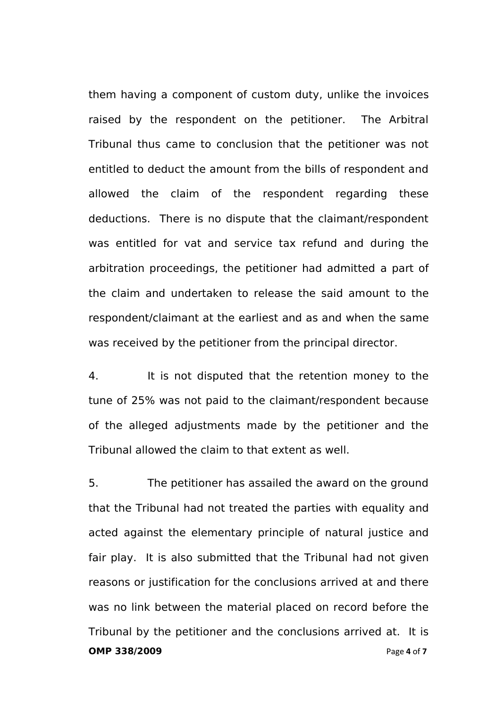them having a component of custom duty, unlike the invoices raised by the respondent on the petitioner. The Arbitral Tribunal thus came to conclusion that the petitioner was not entitled to deduct the amount from the bills of respondent and allowed the claim of the respondent regarding these deductions. There is no dispute that the claimant/respondent was entitled for vat and service tax refund and during the arbitration proceedings, the petitioner had admitted a part of the claim and undertaken to release the said amount to the respondent/claimant at the earliest and as and when the same was received by the petitioner from the principal director.

4. It is not disputed that the retention money to the tune of 25% was not paid to the claimant/respondent because of the alleged adjustments made by the petitioner and the Tribunal allowed the claim to that extent as well.

**OMP 338/2009** Page **4** of **7** 5. The petitioner has assailed the award on the ground that the Tribunal had not treated the parties with equality and acted against the elementary principle of natural justice and fair play. It is also submitted that the Tribunal had not given reasons or justification for the conclusions arrived at and there was no link between the material placed on record before the Tribunal by the petitioner and the conclusions arrived at. It is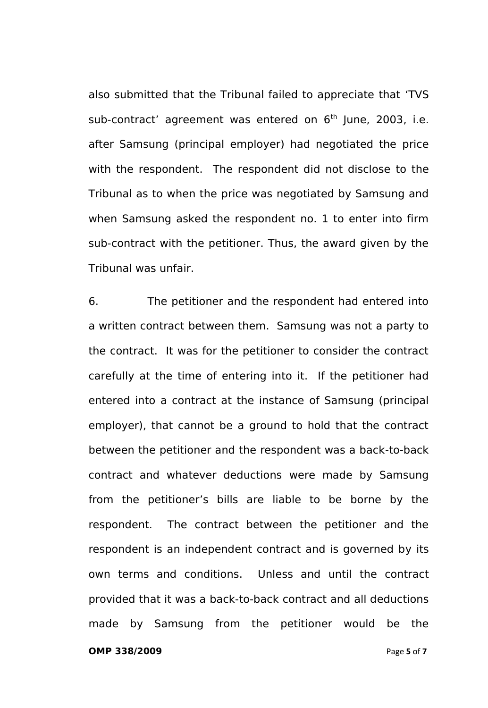also submitted that the Tribunal failed to appreciate that 'TVS sub-contract' agreement was entered on  $6<sup>th</sup>$  June, 2003, i.e. after Samsung (principal employer) had negotiated the price with the respondent. The respondent did not disclose to the Tribunal as to when the price was negotiated by Samsung and when Samsung asked the respondent no. 1 to enter into firm sub-contract with the petitioner. Thus, the award given by the Tribunal was unfair.

6. The petitioner and the respondent had entered into a written contract between them. Samsung was not a party to the contract. It was for the petitioner to consider the contract carefully at the time of entering into it. If the petitioner had entered into a contract at the instance of Samsung (principal employer), that cannot be a ground to hold that the contract between the petitioner and the respondent was a back-to-back contract and whatever deductions were made by Samsung from the petitioner's bills are liable to be borne by the respondent. The contract between the petitioner and the respondent is an independent contract and is governed by its own terms and conditions. Unless and until the contract provided that it was a back-to-back contract and all deductions made by Samsung from the petitioner would be the

**OMP 338/2009** Page **5** of **7**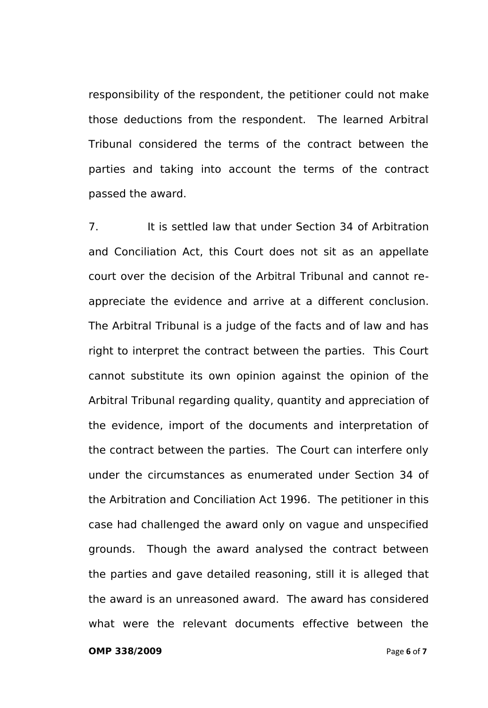responsibility of the respondent, the petitioner could not make those deductions from the respondent. The learned Arbitral Tribunal considered the terms of the contract between the parties and taking into account the terms of the contract passed the award.

7. It is settled law that under Section 34 of Arbitration and Conciliation Act, this Court does not sit as an appellate court over the decision of the Arbitral Tribunal and cannot reappreciate the evidence and arrive at a different conclusion. The Arbitral Tribunal is a judge of the facts and of law and has right to interpret the contract between the parties. This Court cannot substitute its own opinion against the opinion of the Arbitral Tribunal regarding quality, quantity and appreciation of the evidence, import of the documents and interpretation of the contract between the parties. The Court can interfere only under the circumstances as enumerated under Section 34 of the Arbitration and Conciliation Act 1996. The petitioner in this case had challenged the award only on vague and unspecified grounds. Though the award analysed the contract between the parties and gave detailed reasoning, still it is alleged that the award is an unreasoned award. The award has considered what were the relevant documents effective between the